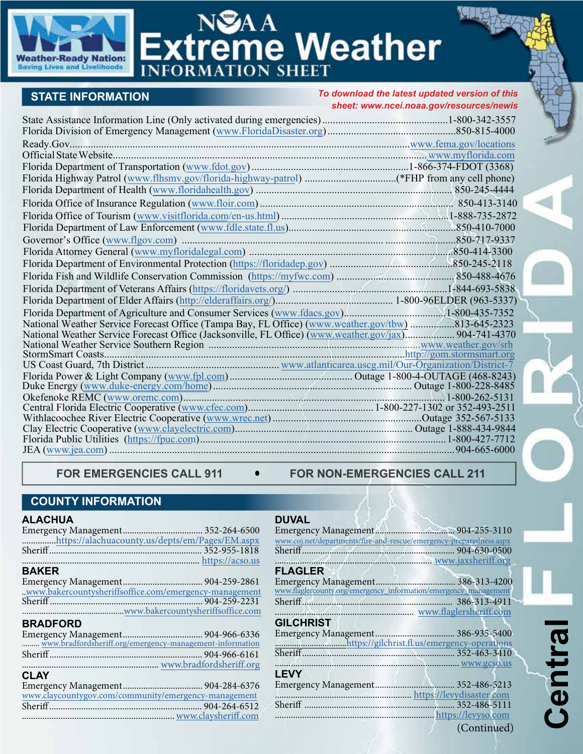

# NSAA<br>Extreme Weather

## **STATE INFORMATION**

*To download the latest updated version of this sheet: www.n[cei.noaa.gov/resources/newis](https://www.ncei.noaa.gov/resources/newis)*

| National Weather Service Forecast Office (Tampa Bay, FL Office) (www.weather.gov/tbw) 813-645-2323 |  |
|----------------------------------------------------------------------------------------------------|--|
|                                                                                                    |  |
|                                                                                                    |  |
|                                                                                                    |  |
|                                                                                                    |  |
|                                                                                                    |  |
|                                                                                                    |  |
|                                                                                                    |  |
|                                                                                                    |  |
|                                                                                                    |  |
|                                                                                                    |  |
|                                                                                                    |  |

#### FOR EMERGENCIES CALL 911  $\bullet$  FOR NON-EMERGENCIES CALL 211

### **COUNTY INFORMATION**

#### **ALACHUA**

| 1600 I G                                                 |  |
|----------------------------------------------------------|--|
|                                                          |  |
| https://alachuacounty.us/depts/em/Pages/EM.aspx          |  |
|                                                          |  |
|                                                          |  |
| <b>BAKER</b>                                             |  |
|                                                          |  |
| .www.bakercountysheriffsoffice.com/emergency-management  |  |
|                                                          |  |
|                                                          |  |
| <b>BRADFORD</b>                                          |  |
|                                                          |  |
| www.bradfordsheriff.org/emergency-management-information |  |
|                                                          |  |
|                                                          |  |
| <b>CLAY</b>                                              |  |
|                                                          |  |
| www.claycountygov.com/community/emergency-management     |  |
|                                                          |  |
|                                                          |  |

#### **DUVAL**

| www.coj.net/departments/fire-and-rescue/emergency-preparedness.aspx |             |
|---------------------------------------------------------------------|-------------|
|                                                                     |             |
| www.jaxsheriff.org                                                  |             |
| <b>FLAGLER</b>                                                      |             |
|                                                                     |             |
| www.flaglercounty.org/emergency_information/emergency_management    |             |
|                                                                     |             |
| www.flaglersheriff.com                                              |             |
| <b>GILCHRIST</b>                                                    |             |
|                                                                     |             |
|                                                                     |             |
|                                                                     |             |
|                                                                     |             |
| <b>LEVY</b>                                                         |             |
|                                                                     |             |
| https://levydisaster.com                                            |             |
|                                                                     |             |
|                                                                     |             |
|                                                                     | (Continued) |
|                                                                     |             |